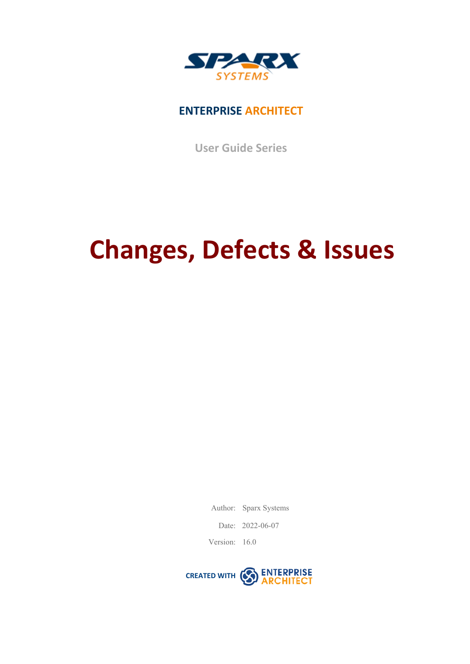

### **ENTERPRISE ARCHITECT**

**User Guide Series**

# **Changes, Defects & Issues**

Author: Sparx Systems

Date: 2022-06-07

Version: 16.0

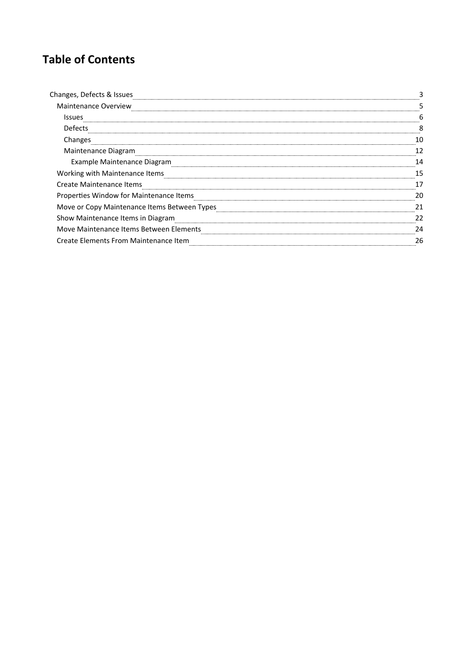### **Table of Contents**

| <b>Maintenance Overview</b><br>Issues<br>Defects<br>Changes<br>Maintenance Diagram<br>Example Maintenance Diagram<br>Working with Maintenance Items<br><b>Create Maintenance Items</b><br>Properties Window for Maintenance Items<br>Move or Copy Maintenance Items Between Types<br>Show Maintenance Items in Diagram<br>Move Maintenance Items Between Elements |  |
|-------------------------------------------------------------------------------------------------------------------------------------------------------------------------------------------------------------------------------------------------------------------------------------------------------------------------------------------------------------------|--|
|                                                                                                                                                                                                                                                                                                                                                                   |  |
|                                                                                                                                                                                                                                                                                                                                                                   |  |
|                                                                                                                                                                                                                                                                                                                                                                   |  |
|                                                                                                                                                                                                                                                                                                                                                                   |  |
|                                                                                                                                                                                                                                                                                                                                                                   |  |
|                                                                                                                                                                                                                                                                                                                                                                   |  |
|                                                                                                                                                                                                                                                                                                                                                                   |  |
|                                                                                                                                                                                                                                                                                                                                                                   |  |
|                                                                                                                                                                                                                                                                                                                                                                   |  |
|                                                                                                                                                                                                                                                                                                                                                                   |  |
|                                                                                                                                                                                                                                                                                                                                                                   |  |
|                                                                                                                                                                                                                                                                                                                                                                   |  |
| <b>Create Elements From Maintenance Item</b>                                                                                                                                                                                                                                                                                                                      |  |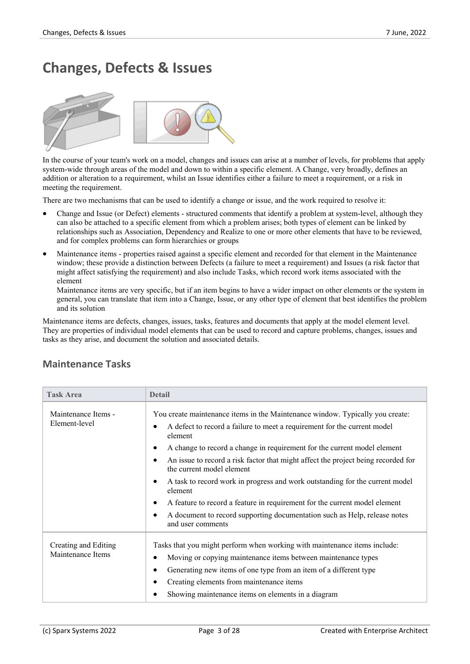# **Changes, Defects & Issues**



In the course of your team's work on a model, changes and issues can arise at a number of levels, for problems that apply system-wide through areas of the model and down to within a specific element. A Change, very broadly, defines an addition or alteration to a requirement, whilst an Issue identifies either a failure to meet a requirement, or a risk in meeting the requirement.

There are two mechanisms that can be used to identify a change or issue, and the work required to resolve it:

- · Change and Issue (or Defect) elements structured comments that identify a problem at system-level, although they can also be attached to a specific element from which a problem arises; both types ofelement can be linked by relationships such as Association, Dependency and Realize to one or more other elements that have to be reviewed, and for complex problems can form hierarchies or groups
- · Maintenance items properties raised against a specific element and recorded for that element in the Maintenance window; these provide a distinction between Defects (a failure to meet a requirement) and Issues (a risk factor that might affect satisfying the requirement) and also include Tasks, which record work items associated with the element

Maintenance items are very specific, but if an item begins to have a wider impact on other elements orthe system in general, you can translate that item into a Change, Issue, or any other type of element that best identifies the problem and its solution

Maintenance items are defects, changes, issues, tasks, features and documents that apply at the model element level. They are properties ofindividual model elements that can be used to record and capture problems, changes, issues and tasks as they arise, and document the solution and associated details.

| <b>Task Area</b>                          | <b>Detail</b>                                                                                                                                                                                                                                                                                                                                                                                                                                                                                                                                                                                                                                                                                       |
|-------------------------------------------|-----------------------------------------------------------------------------------------------------------------------------------------------------------------------------------------------------------------------------------------------------------------------------------------------------------------------------------------------------------------------------------------------------------------------------------------------------------------------------------------------------------------------------------------------------------------------------------------------------------------------------------------------------------------------------------------------------|
| Maintenance Items -<br>Element-level      | You create maintenance items in the Maintenance window. Typically you create:<br>A defect to record a failure to meet a requirement for the current model<br>$\bullet$<br>element<br>A change to record a change in requirement for the current model element<br>$\bullet$<br>An issue to record a risk factor that might affect the project being recorded for<br>$\bullet$<br>the current model element<br>A task to record work in progress and work outstanding for the current model<br>٠<br>element<br>A feature to record a feature in requirement for the current model element<br>٠<br>A document to record supporting documentation such as Help, release notes<br>٠<br>and user comments |
| Creating and Editing<br>Maintenance Items | Tasks that you might perform when working with maintenance items include:<br>Moving or copying maintenance items between maintenance types<br>$\bullet$<br>Generating new items of one type from an item of a different type<br>$\bullet$<br>Creating elements from maintenance items<br>٠<br>Showing maintenance items on elements in a diagram                                                                                                                                                                                                                                                                                                                                                    |

#### **Maintenance Tasks**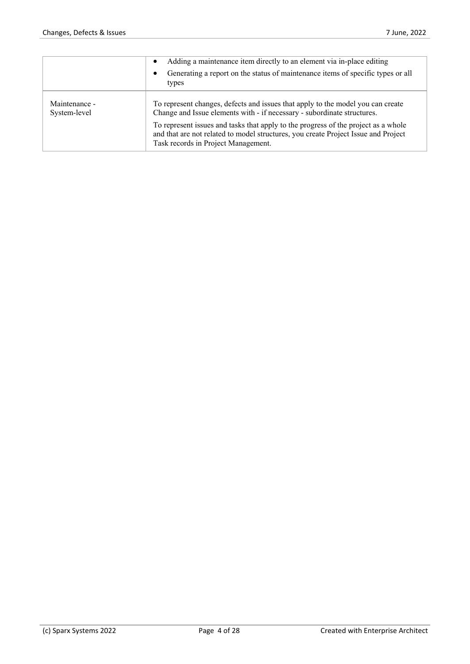|                               | Adding a maintenance item directly to an element via in-place editing<br>Generating a report on the status of maintenance items of specific types or all<br>types                                               |
|-------------------------------|-----------------------------------------------------------------------------------------------------------------------------------------------------------------------------------------------------------------|
| Maintenance -<br>System-level | To represent changes, defects and issues that apply to the model you can create<br>Change and Issue elements with - if necessary - subordinate structures.                                                      |
|                               | To represent issues and tasks that apply to the progress of the project as a whole<br>and that are not related to model structures, you create Project Issue and Project<br>Task records in Project Management. |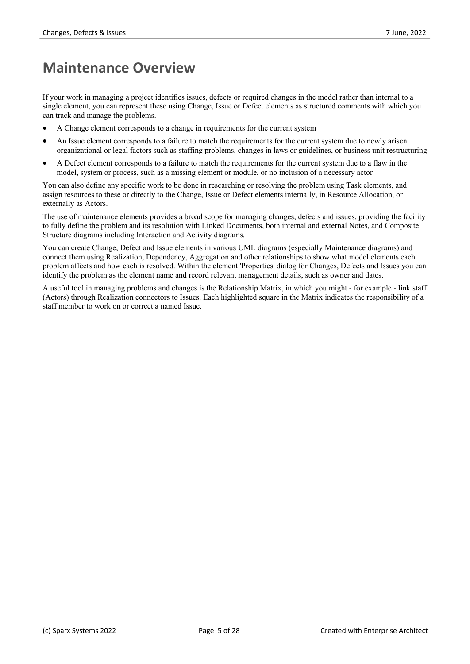### **Maintenance Overview**

If your work in managing a project identifies issues, defects or required changes in the model rather than internal to a single element, you can represent these using Change, Issue or Defect elements as structured comments with which you can track and manage the problems.

- · A Change element corresponds to a change in requirements for the current system
- An Issue element corresponds to a failure to match the requirements for the current system due to newly arisen organizational or legal factors such as staffing problems, changes in lawsorguidelines, or business unit restructuring
- A Defect element corresponds to a failure to match the requirements for the current system due to a flaw in the model, system or process, such as a missing element or module, or no inclusion of a necessary actor

You can also define any specific work to be done in researching or resolving the problem using Task elements, and assign resources to these or directly to the Change, Issue or Defect elements internally, in Resource Allocation, or externally as Actors.

The use of maintenance elements provides a broad scope for managing changes, defects and issues, providing the facility to fully define the problem and its resolution with Linked Documents, both internal and external Notes, and Composite Structure diagrams including Interaction and Activity diagrams.

You can create Change, Defect and Issue elements in various UML diagrams (especially Maintenance diagrams) and connect them using Realization, Dependency, Aggregation and other relationships to show what model elements each problem affects and how each is resolved. Within the element 'Properties' dialog for Changes, Defects and Issues you can identify the problem as the element name and record relevant management details, such as owner and dates.

A useful tool in managing problems and changes is the Relationship Matrix, in which you might -for example - link staff (Actors) through Realization connectors to Issues. Each highlighted square in the Matrix indicates the responsibility of a staff member to work on or correct a named Issue.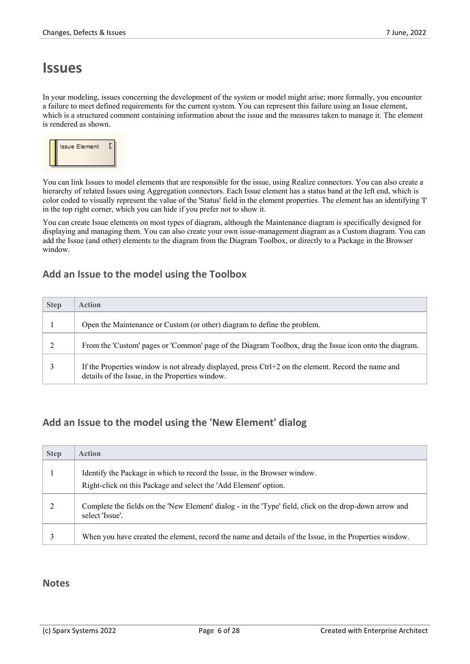### **Issues**

In your modeling, issues concerning the development of the system or model might arise; more formally, you encounter a failure to meet defined requirements for the current system. You can represent this failure using an Issue element, which is a structured comment containing information about the issue and the measures taken to manage it is rendered as shown.



You can link Issues to model elements that are responsible for the issue, using Realize connectors. You can also create a hierarchy of related Issues using Aggregation connectors. Each Issue element has a status band at the left end, which is color coded to visually represent the value of the 'Status' field in the element properties. The element has an identifying 'I' in the top right corner, which you can hide if you prefer not to show it.

You can create Issue elements on most types of diagram, although the Maintenance diagram is specifically designed for displaying and managing them. You can also create yourown issue-management diagram as a Custom diagram. You can add the Issue (and other) elements to the diagram from the Diagram Toolbox, or directly to a Package in the Browser window.

#### **Add an Issue to the model using the Toolbox**

| <b>Step</b> | Action                                                                                                                                                 |
|-------------|--------------------------------------------------------------------------------------------------------------------------------------------------------|
|             | Open the Maintenance or Custom (or other) diagram to define the problem.                                                                               |
|             | From the 'Custom' pages or 'Common' page of the Diagram Toolbox, drag the Issue icon onto the diagram.                                                 |
|             | If the Properties window is not already displayed, press Ctrl+2 on the element. Record the name and<br>details of the Issue, in the Properties window. |

#### **Add an Issue to the model using the 'New Element' dialog**

| <b>Step</b> | <b>Action</b>                                                                                                              |
|-------------|----------------------------------------------------------------------------------------------------------------------------|
|             | Identify the Package in which to record the Issue, in the Browser window.                                                  |
|             | Right-click on this Package and select the 'Add Element' option.                                                           |
|             | Complete the fields on the 'New Element' dialog - in the 'Type' field, click on the drop-down arrow and<br>select 'Issue'. |
|             | When you have created the element, record the name and details of the Issue, in the Properties window.                     |

#### **Notes**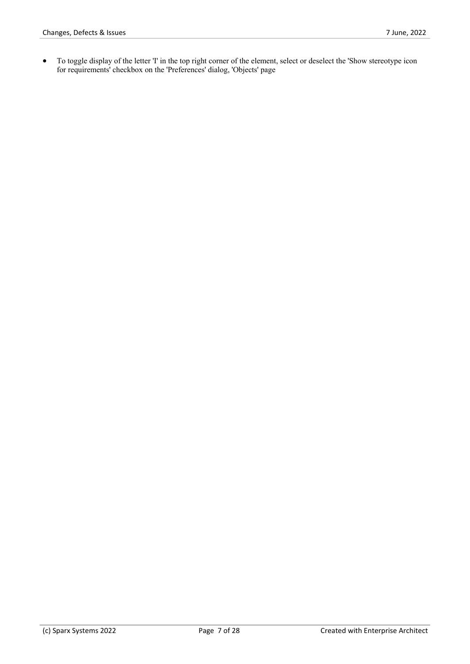• To toggle display of the letter 'I' in the top right corner of the element, select or deselect the 'Show stereotype icon for requirements' checkbox on the 'Preferences' dialog, 'Objects' page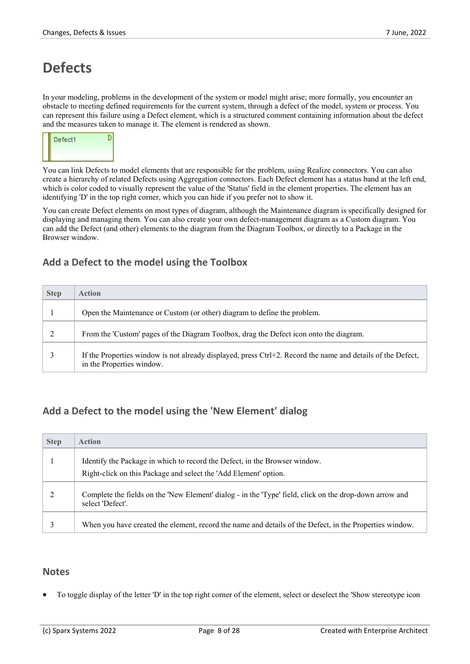# **Defects**

In your modeling, problems in the development of the system or model might arise; more formally, you encounter an obstacle to meeting defined requirements for the current system, through a defect of the model, system or process. You can represent this failure using a Defect element, which is a structured comment containing information about the defect and the measures taken to manage it. The element is rendered as shown.



You can link Defects to model elements that are responsible for the problem, using Realize connectors. You can also create a hierarchy of related Defects using Aggregation connectors. Each Defect element has a status band at the left end, which is color coded to visually represent the value of the 'Status' field in the element properties. The element has an identifying 'D' in the top right corner, which you can hide if you prefer not to show it.

You can create Defect elements on most types of diagram, although the Maintenance diagram is specifically designed for displaying and managing them. You can also create yourown defect-management diagram as a Custom diagram. You can add the Defect (and other) elements to the diagram from the Diagram Toolbox, or directly to a Package in the Browser window.

#### **Add a Defect to the model using the Toolbox**

| <b>Step</b> | <b>Action</b>                                                                                                                            |
|-------------|------------------------------------------------------------------------------------------------------------------------------------------|
|             | Open the Maintenance or Custom (or other) diagram to define the problem.                                                                 |
|             | From the 'Custom' pages of the Diagram Toolbox, drag the Defect icon onto the diagram.                                                   |
|             | If the Properties window is not already displayed, press Ctrl+2. Record the name and details of the Defect,<br>in the Properties window. |

#### **Add a Defect to the model using the 'New Element' dialog**

| <b>Step</b> | <b>Action</b>                                                                                                               |
|-------------|-----------------------------------------------------------------------------------------------------------------------------|
|             | Identify the Package in which to record the Defect, in the Browser window.                                                  |
|             | Right-click on this Package and select the 'Add Element' option.                                                            |
|             | Complete the fields on the 'New Element' dialog - in the 'Type' field, click on the drop-down arrow and<br>select 'Defect'. |
|             | When you have created the element, record the name and details of the Defect, in the Properties window.                     |

#### **Notes**

To toggle display of the letter 'D' in the top right corner of the element, select or deselect the 'Show stereotype icon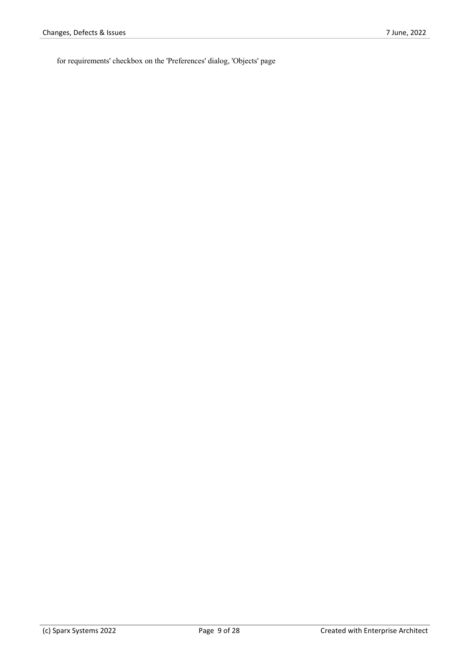for requirements' checkbox on the 'Preferences' dialog, 'Objects' page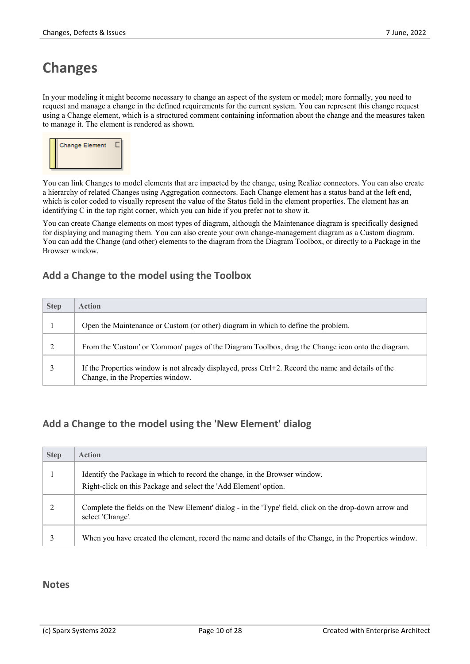# **Changes**

In your modeling it might become necessary to change an aspect of the system or model; moreformally, you need to request and manage a change in the defined requirements for the current system. You can represent this change request using a Change element, which is a structured comment containing information about the change and the measures taken to manage it. The element is rendered as shown.



You can link Changes to model elements that are impacted by the change, using Realize connectors. You can also create a hierarchy of related Changes using Aggregation connectors. Each Change element has a status band at the left end, which is color coded to visually represent the value of the Status field in the element properties. The element has an identifying  $C$  in the top right corner, which you can hide if you prefer not to show it.

You can create Change elements on most types of diagram, although the Maintenance diagram is specifically designed for displaying and managing them. You can also create yourown change-management diagram as a Custom diagram. You can add the Change (and other) elements to the diagram from the Diagram Toolbox, or directly to a Package in the Browser window.

#### **Add a Change to the model using the Toolbox**

| <b>Step</b> | <b>Action</b>                                                                                                                            |
|-------------|------------------------------------------------------------------------------------------------------------------------------------------|
|             | Open the Maintenance or Custom (or other) diagram in which to define the problem.                                                        |
|             | From the 'Custom' or 'Common' pages of the Diagram Toolbox, drag the Change icon onto the diagram.                                       |
|             | If the Properties window is not already displayed, press Ctrl+2. Record the name and details of the<br>Change, in the Properties window. |

#### **Add a Change to the model using the 'New Element' dialog**

| <b>Step</b> | <b>Action</b>                                                                                                               |
|-------------|-----------------------------------------------------------------------------------------------------------------------------|
|             | Identify the Package in which to record the change, in the Browser window.                                                  |
|             | Right-click on this Package and select the 'Add Element' option.                                                            |
|             | Complete the fields on the 'New Element' dialog - in the 'Type' field, click on the drop-down arrow and<br>select 'Change'. |
|             | When you have created the element, record the name and details of the Change, in the Properties window.                     |

#### **Notes**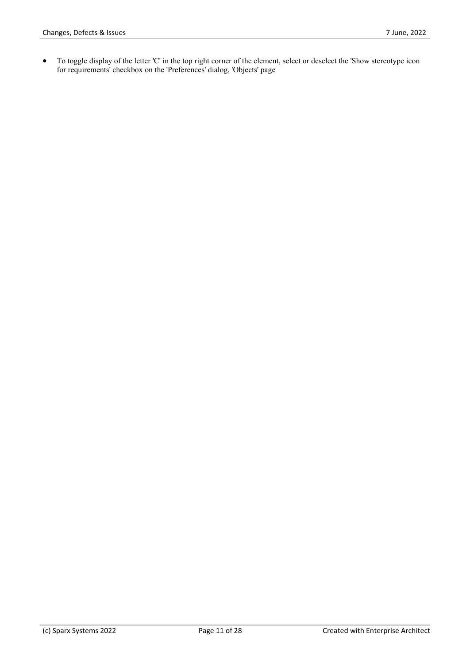• To toggle display of the letter 'C' in the top right corner of the element, select or deselect the 'Show stereotype icon for requirements' checkbox on the 'Preferences' dialog, 'Objects' page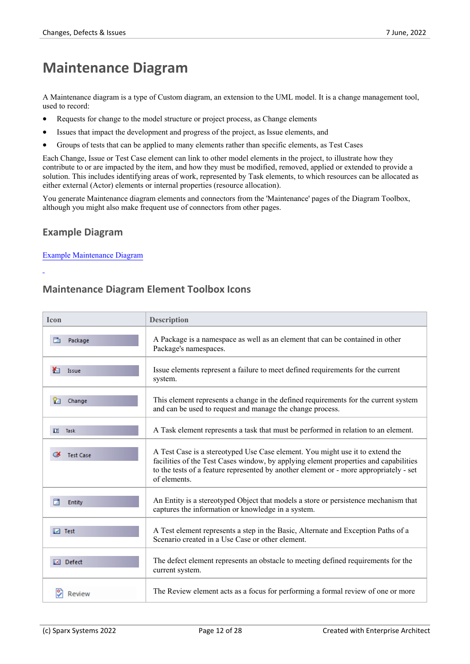### **Maintenance Diagram**

A Maintenance diagram is a type of Custom diagram, an extension to the UML model. It is a change management tool, used to record:

- Requests for change to the model structure or project process, as Change elements
- Issues that impact the development and progress of the project, as Issue elements, and
- · Groups of tests that can be applied to many elements rather than specific elements, as Test Cases

Each Change, Issue or Test Case element can link to other model elements in the project, to illustrate how they contribute to or are impacted by the item, and how they must be modified, removed, applied or extended to provide a solution. This includes identifying areas of work, represented by Task elements, to which resources can be allocated as either external (Actor) elements or internal properties (resource allocation).

You generate Maintenance diagram elements and connectors from the 'Maintenance' pages of the Diagram Toolbox, although you might also make frequent use of connectors from other pages.

#### **Example Diagram**

#### Example [Maintenance](https://sparxsystems.com/enterprise_architect_user_guide/16.0/example_maintenance_diagram.htm) Diagram

#### **Maintenance Diagram Element Toolbox Icons**

| <b>Icon</b> |                               | <b>Description</b>                                                                                                                                                                                                                                                              |
|-------------|-------------------------------|---------------------------------------------------------------------------------------------------------------------------------------------------------------------------------------------------------------------------------------------------------------------------------|
|             | Package                       | A Package is a namespace as well as an element that can be contained in other<br>Package's namespaces.                                                                                                                                                                          |
| ¥п          | Issue                         | Issue elements represent a failure to meet defined requirements for the current<br>system.                                                                                                                                                                                      |
| Ŷ٦          | Change                        | This element represents a change in the defined requirements for the current system<br>and can be used to request and manage the change process.                                                                                                                                |
| IT.         | Task                          | A Task element represents a task that must be performed in relation to an element.                                                                                                                                                                                              |
| ∞           | <b>Test Case</b>              | A Test Case is a stereotyped Use Case element. You might use it to extend the<br>facilities of the Test Cases window, by applying element properties and capabilities<br>to the tests of a feature represented by another element or - more appropriately - set<br>of elements. |
|             | Entity                        | An Entity is a stereotyped Object that models a store or persistence mechanism that<br>captures the information or knowledge in a system.                                                                                                                                       |
|             | $\boxed{\triangleright}$ Test | A Test element represents a step in the Basic, Alternate and Exception Paths of a<br>Scenario created in a Use Case or other element.                                                                                                                                           |
| IXI.        | Defect                        | The defect element represents an obstacle to meeting defined requirements for the<br>current system.                                                                                                                                                                            |
|             | Review                        | The Review element acts as a focus for performing a formal review of one or more                                                                                                                                                                                                |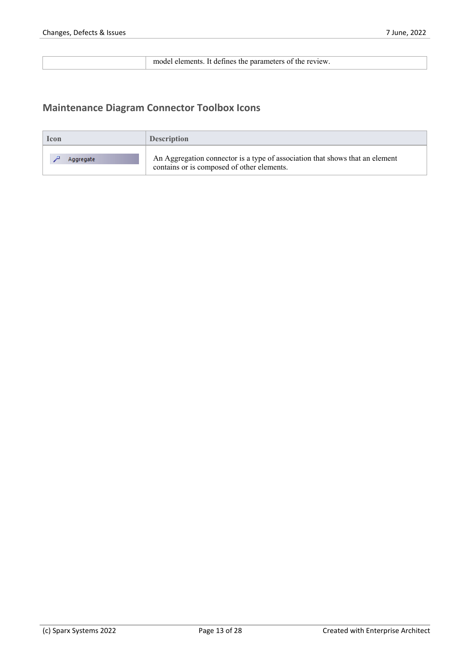model elements. It defines the parameters of the review.

#### **Maintenance Diagram Connector Toolbox Icons**

| <b>lcon</b> | <b>Description</b>                                                                                                         |
|-------------|----------------------------------------------------------------------------------------------------------------------------|
| Aggregate   | An Aggregation connector is a type of association that shows that an element<br>contains or is composed of other elements. |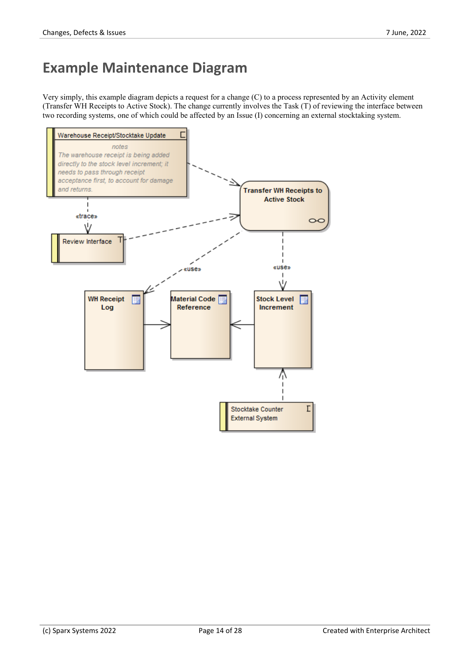# **Example Maintenance Diagram**

Very simply, this example diagram depicts a request for a change (C) to a process represented by an Activity element (Transfer WH Receipts to Active Stock). The change currently involves the Task (T) of reviewing the interface between two recording systems, one of which could be affected by an Issue (I) concerning an external stocktaking system.

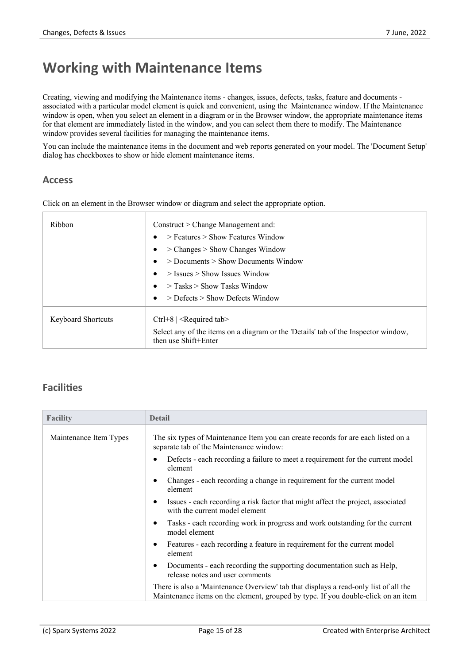### **Working with Maintenance Items**

Creating, viewing and modifying the Maintenance items - changes, issues, defects, tasks, feature and documents associated with a particular model element is quick and convenient, using the Maintenance window.If the Maintenance window is open, when you select an element in a diagram or in the Browser window, the appropriate maintenance items for that element are immediately listed in the window, and you can select them there to modify. The Maintenance window provides several facilities for managing the maintenance items.

You can include the maintenance items in the document and web reports generated on your model. The 'Document Setup' dialog has checkboxes to show or hide element maintenance items.

#### **Access**

| Ribbon                    | Construct > Change Management and:                                                                         |  |  |  |
|---------------------------|------------------------------------------------------------------------------------------------------------|--|--|--|
|                           | $>$ Features $>$ Show Features Window                                                                      |  |  |  |
|                           | $>$ Changes $>$ Show Changes Window                                                                        |  |  |  |
|                           | $>$ Documents $>$ Show Documents Window                                                                    |  |  |  |
|                           | $>$ Issues $>$ Show Issues Window                                                                          |  |  |  |
|                           | $>$ Tasks $>$ Show Tasks Window                                                                            |  |  |  |
|                           | $>$ Defects $>$ Show Defects Window                                                                        |  |  |  |
| <b>Keyboard Shortcuts</b> | Ctrl+8   $\leq$ Required tab                                                                               |  |  |  |
|                           | Select any of the items on a diagram or the 'Details' tab of the Inspector window,<br>then use Shift+Enter |  |  |  |

#### **Facilities**

| <b>Facility</b>        | <b>Detail</b>                                                                                                                                                             |  |
|------------------------|---------------------------------------------------------------------------------------------------------------------------------------------------------------------------|--|
| Maintenance Item Types | The six types of Maintenance Item you can create records for are each listed on a<br>separate tab of the Maintenance window:                                              |  |
|                        | Defects - each recording a failure to meet a requirement for the current model<br>element                                                                                 |  |
|                        | Changes - each recording a change in requirement for the current model<br>element                                                                                         |  |
|                        | Issues - each recording a risk factor that might affect the project, associated<br>with the current model element                                                         |  |
|                        | Tasks - each recording work in progress and work outstanding for the current<br>model element                                                                             |  |
|                        | Features - each recording a feature in requirement for the current model<br>element                                                                                       |  |
|                        | Documents - each recording the supporting documentation such as Help,<br>release notes and user comments                                                                  |  |
|                        | There is also a 'Maintenance Overview' tab that displays a read-only list of all the<br>Maintenance items on the element, grouped by type. If you double-click on an item |  |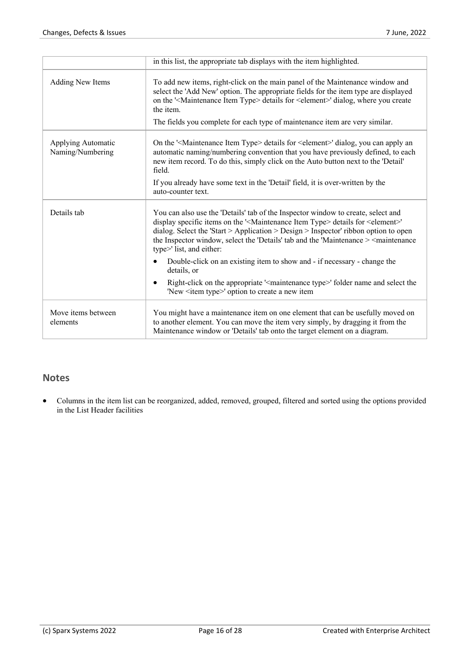|                                        | in this list, the appropriate tab displays with the item highlighted.                                                                                                                                                                                                                                                                                                                                                                       |
|----------------------------------------|---------------------------------------------------------------------------------------------------------------------------------------------------------------------------------------------------------------------------------------------------------------------------------------------------------------------------------------------------------------------------------------------------------------------------------------------|
| <b>Adding New Items</b>                | To add new items, right-click on the main panel of the Maintenance window and<br>select the 'Add New' option. The appropriate fields for the item type are displayed<br>on the ' <maintenance item="" type=""> details for <element>' dialog, where you create<br/>the item.</element></maintenance>                                                                                                                                        |
|                                        | The fields you complete for each type of maintenance item are very similar.                                                                                                                                                                                                                                                                                                                                                                 |
| Applying Automatic<br>Naming/Numbering | On the ' <maintenance item="" type=""> details for <element>' dialog, you can apply an<br/>automatic naming/numbering convention that you have previously defined, to each<br/>new item record. To do this, simply click on the Auto button next to the 'Detail'<br/>field.</element></maintenance>                                                                                                                                         |
|                                        | If you already have some text in the 'Detail' field, it is over-written by the<br>auto-counter text.                                                                                                                                                                                                                                                                                                                                        |
| Details tab                            | You can also use the 'Details' tab of the Inspector window to create, select and<br>display specific items on the ' <maintenance item="" type=""> details for <element>'<br/>dialog. Select the 'Start &gt; Application &gt; Design &gt; Inspector' ribbon option to open<br/>the Inspector window, select the 'Details' tab and the 'Maintenance &gt; <maintenance<br>type&gt;' list, and either:</maintenance<br></element></maintenance> |
|                                        | Double-click on an existing item to show and - if necessary - change the<br>details, or                                                                                                                                                                                                                                                                                                                                                     |
|                                        | Right-click on the appropriate ' <maintenance type="">' folder name and select the<br/><math display="inline">\bullet</math><br/>'New <item type="">' option to create a new item</item></maintenance>                                                                                                                                                                                                                                      |
| Move items between<br>elements         | You might have a maintenance item on one element that can be usefully moved on<br>to another element. You can move the item very simply, by dragging it from the<br>Maintenance window or 'Details' tab onto the target element on a diagram.                                                                                                                                                                                               |

#### **Notes**

· Columns in the item list can be reorganized, added, removed, grouped, filtered and sorted using the options provided in the List Header facilities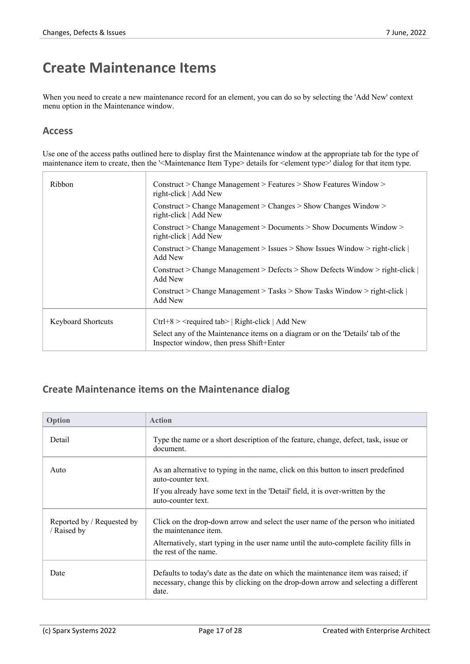### **Create Maintenance Items**

When you need to create a new maintenance record for an element, you can do so by selecting the 'Add New' context menu option in the Maintenance window.

#### **Access**

Use one of the access paths outlined here to display first the Maintenance window at the appropriate tab for the type of maintenance item to create, then the '<Maintenance Item Type> details for <element type>' dialog for that item type.

| Ribbon                    | Construct > Change Management > Features > Show Features Window ><br>right-click   Add New                                  |
|---------------------------|-----------------------------------------------------------------------------------------------------------------------------|
|                           | Construct > Change Management > Changes > Show Changes Window ><br>right-click   Add New                                    |
|                           | Construct > Change Management > Documents > Show Documents Window ><br>right-click   Add New                                |
|                           | Construct > Change Management > Issues > Show Issues Window > right-click $ $<br>Add New                                    |
|                           | Construct > Change Management > Defects > Show Defects Window > right-click $ $<br>Add New                                  |
|                           | Construct > Change Management > Tasks > Show Tasks Window > right-click $ $<br>Add New                                      |
| <b>Keyboard Shortcuts</b> | $Ctrl + 8$ > $\le$ required tab >   Right-click   Add New                                                                   |
|                           | Select any of the Maintenance items on a diagram or on the 'Details' tab of the<br>Inspector window, then press Shift+Enter |

#### **Create Maintenance items on the Maintenance dialog**

| Option                                  | <b>Action</b>                                                                                                                                                                     |
|-----------------------------------------|-----------------------------------------------------------------------------------------------------------------------------------------------------------------------------------|
| Detail                                  | Type the name or a short description of the feature, change, defect, task, issue or<br>document.                                                                                  |
| Auto                                    | As an alternative to typing in the name, click on this button to insert predefined<br>auto-counter text.                                                                          |
|                                         | If you already have some text in the 'Detail' field, it is over-written by the<br>auto-counter text.                                                                              |
| Reported by / Requested by<br>Raised by | Click on the drop-down arrow and select the user name of the person who initiated<br>the maintenance item.                                                                        |
|                                         | Alternatively, start typing in the user name until the auto-complete facility fills in<br>the rest of the name.                                                                   |
| Date                                    | Defaults to today's date as the date on which the maintenance item was raised; if<br>necessary, change this by clicking on the drop-down arrow and selecting a different<br>date. |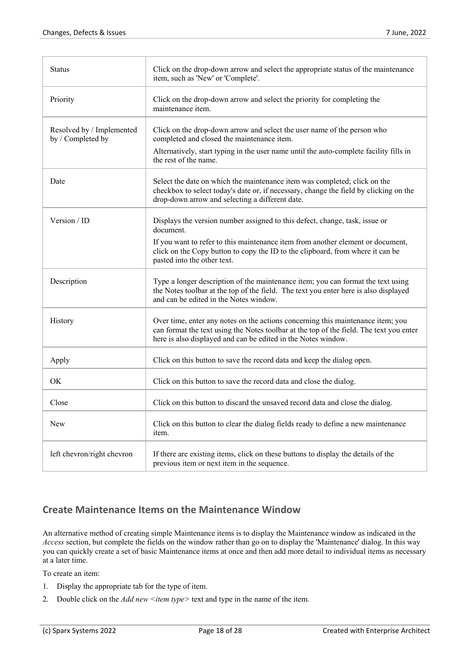| Status                                         | Click on the drop-down arrow and select the appropriate status of the maintenance<br>item, such as 'New' or 'Complete'.                                                                                                                     |  |
|------------------------------------------------|---------------------------------------------------------------------------------------------------------------------------------------------------------------------------------------------------------------------------------------------|--|
| Priority                                       | Click on the drop-down arrow and select the priority for completing the<br>maintenance item.                                                                                                                                                |  |
| Resolved by / Implemented<br>by / Completed by | Click on the drop-down arrow and select the user name of the person who<br>completed and closed the maintenance item.                                                                                                                       |  |
|                                                | Alternatively, start typing in the user name until the auto-complete facility fills in<br>the rest of the name.                                                                                                                             |  |
| Date                                           | Select the date on which the maintenance item was completed; click on the<br>checkbox to select today's date or, if necessary, change the field by clicking on the<br>drop-down arrow and selecting a different date.                       |  |
| Version / ID                                   | Displays the version number assigned to this defect, change, task, issue or<br>document.                                                                                                                                                    |  |
|                                                | If you want to refer to this maintenance item from another element or document,<br>click on the Copy button to copy the ID to the clipboard, from where it can be<br>pasted into the other text.                                            |  |
| Description                                    | Type a longer description of the maintenance item; you can format the text using<br>the Notes toolbar at the top of the field. The text you enter here is also displayed<br>and can be edited in the Notes window.                          |  |
| History                                        | Over time, enter any notes on the actions concerning this maintenance item; you<br>can format the text using the Notes toolbar at the top of the field. The text you enter<br>here is also displayed and can be edited in the Notes window. |  |
| Apply                                          | Click on this button to save the record data and keep the dialog open.                                                                                                                                                                      |  |
| <b>OK</b>                                      | Click on this button to save the record data and close the dialog.                                                                                                                                                                          |  |
| Close                                          | Click on this button to discard the unsaved record data and close the dialog.                                                                                                                                                               |  |
| New                                            | Click on this button to clear the dialog fields ready to define a new maintenance<br>item.                                                                                                                                                  |  |
| left chevron/right chevron                     | If there are existing items, click on these buttons to display the details of the<br>previous item or next item in the sequence.                                                                                                            |  |

#### **Create Maintenance Items on the Maintenance Window**

An alternative method of creating simple Maintenance items is to display the Maintenance window as indicated in the *Access* section, but complete the fields on the window rather than go on to display the 'Maintenance' dialog. In this way you can quickly create a set of basic Maintenance items at once and then add more detail to individual items as necessary at a later time.

To create an item:

- 1. Display the appropriate tab for the type of item.
- 2. Double click on the *Add new <item type>* text and type in the name of the item.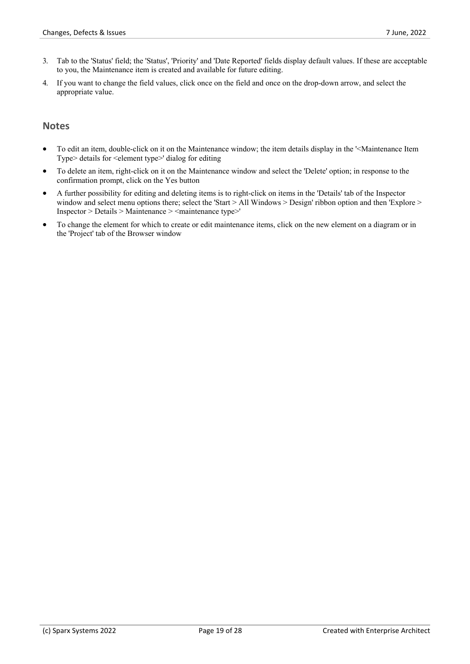- 3. Tab to the 'Status' field; the 'Status', 'Priority' and 'Date Reported' fields display default values. If these are acceptable to you, the Maintenance item is created and available for future editing.
- 4. If you want to change the field values, click once on the field and once on the drop-down arrow, and select the appropriate value.

#### **Notes**

- · To edit an item, double-click on it on the Maintenance window; the item details display in the '<Maintenance Item Type> details for <element type>' dialog for editing
- · To delete an item, right-click on it on the Maintenance window and select the 'Delete' option; in response to the confirmation prompt, click on the Yes button
- · A further possibility for editing and deleting items is to right-click on items in the 'Details' tab of the Inspector window and select menu options there; select the 'Start > All Windows > Design' ribbon option and then 'Explore > Inspector > Details > Maintenance > <maintenance type>'
- To change the element for which to create or edit maintenance items, click on the new element on a diagram or in the 'Project' tab of the Browser window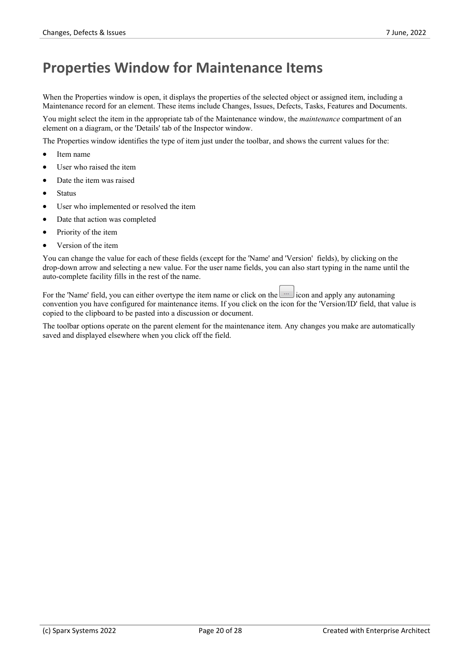### **Properties Window for Maintenance Items**

When the Properties window is open, it displays the properties of the selected object or assigned item, including a Maintenance record for an element. These items include Changes, Issues, Defects, Tasks, Features and Documents.

You might select the item in the appropriate tab of the Maintenance window, the *maintenance* compartment of an element on a diagram, or the 'Details' tab of the Inspector window.

The Properties window identifies the type of item just under the toolbar, and shows the current values for the:

- Item name
- User who raised the item
- Date the item was raised
- · Status
- User who implemented or resolved the item
- Date that action was completed
- Priority of the item
- · Version of the item

You can change the value for each of these fields (except for the 'Name' and 'Version' fields), by clicking on the drop-down arrow and selecting a new value. For the user name fields, you can also start typing in the name until the auto-complete facility fills in the rest of the name.

For the 'Name' field, you can either overtype the item name or click on the icon and apply any autonaming convention you have configured for maintenance items. If you click on the icon for the 'Version/ID' field, that value is copied to the clipboard to be pasted into a discussion or document.

The toolbar options operate on the parent element for the maintenance item. Any changes you make are automatically saved and displayed elsewhere when you click off the field.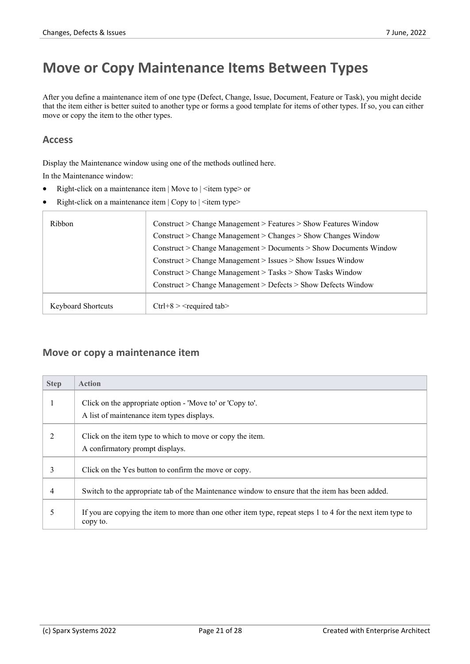# **Move or Copy Maintenance Items Between Types**

After you define a maintenance item of one type (Defect, Change, Issue, Document, Feature or Task), you might decide that the item either is better suited to another type or forms a good template for items of other types. If so, you can either move or copy the item to the other types.

#### **Access**

Display the Maintenance window using one of the methods outlined here.

In the Maintenance window:

- Right-click on a maintenance item | Move to | <item type> or
- Right-click on a maintenance item  $|\text{Copy to }|$  <item type>

| Ribbon                    | Construct > Change Management > Features > Show Features Window   |  |
|---------------------------|-------------------------------------------------------------------|--|
|                           | $Construct > Change Management > Changes > Show Changes$ Window   |  |
|                           | Construct > Change Management > Documents > Show Documents Window |  |
|                           | Construct > Change Management > Issues > Show Issues Window       |  |
|                           | Construct > Change Management > Tasks > Show Tasks Window         |  |
|                           | Construct > Change Management > Defects > Show Defects Window     |  |
| <b>Keyboard Shortcuts</b> | $Ctrl + 8 >$ < required tab                                       |  |

#### **Move or copy a maintenance item**

| <b>Step</b> | <b>Action</b>                                                                                                           |
|-------------|-------------------------------------------------------------------------------------------------------------------------|
|             | Click on the appropriate option - 'Move to' or 'Copy to'.<br>A list of maintenance item types displays.                 |
| 2           | Click on the item type to which to move or copy the item.<br>A confirmatory prompt displays.                            |
| 3           | Click on the Yes button to confirm the move or copy.                                                                    |
| 4           | Switch to the appropriate tab of the Maintenance window to ensure that the item has been added.                         |
| 5           | If you are copying the item to more than one other item type, repeat steps 1 to 4 for the next item type to<br>copy to. |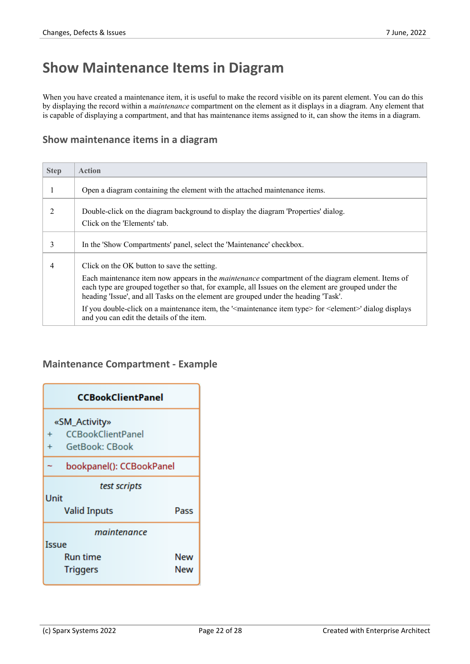# **Show Maintenance Items in Diagram**

When you have created a maintenance item, it is useful to make the record visible on its parent element. You can do this by displaying the record within a *maintenance* compartment on the element as it displays in a diagram. Any element that is capable of displaying a compartment, and that has maintenance items assigned to it, can show the items in a diagram.

#### **Show maintenance items in a diagram**

| <b>Step</b> | <b>Action</b>                                                                                                                                                                                                                                                                                                                                                                                                                                                                                                                                 |
|-------------|-----------------------------------------------------------------------------------------------------------------------------------------------------------------------------------------------------------------------------------------------------------------------------------------------------------------------------------------------------------------------------------------------------------------------------------------------------------------------------------------------------------------------------------------------|
|             | Open a diagram containing the element with the attached maintenance items.                                                                                                                                                                                                                                                                                                                                                                                                                                                                    |
| 2           | Double-click on the diagram background to display the diagram 'Properties' dialog.<br>Click on the 'Elements' tab.                                                                                                                                                                                                                                                                                                                                                                                                                            |
| 3           | In the 'Show Compartments' panel, select the 'Maintenance' checkbox.                                                                                                                                                                                                                                                                                                                                                                                                                                                                          |
| 4           | Click on the OK button to save the setting.<br>Each maintenance item now appears in the <i>maintenance</i> compartment of the diagram element. Items of<br>each type are grouped together so that, for example, all Issues on the element are grouped under the<br>heading 'Issue', and all Tasks on the element are grouped under the heading 'Task'.<br>If you double-click on a maintenance item, the ' <maintenance item="" type=""> for <element>' dialog displays<br/>and you can edit the details of the item.</element></maintenance> |

#### **Maintenance Compartment - Example**

| <b>CCBookClientPanel</b>                               |            |  |  |  |
|--------------------------------------------------------|------------|--|--|--|
| «SM_Activity»<br><b>CCBookClientPanel</b><br>$\ddot{}$ |            |  |  |  |
| GetBook: CBook<br>bookpanel(): CCBookPanel             |            |  |  |  |
| test scripts<br>Unit                                   |            |  |  |  |
| <b>Valid Inputs</b><br>Pass<br>maintenance             |            |  |  |  |
| Issue<br>Run time<br><b>Triggers</b>                   | New<br>New |  |  |  |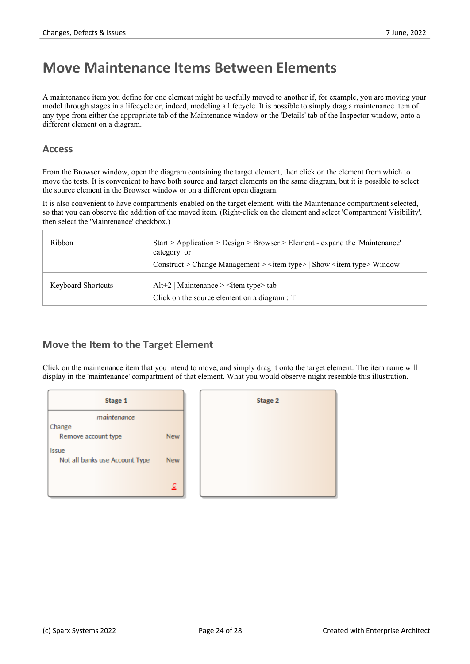### **Move Maintenance Items Between Elements**

A maintenance item you define for one element might be usefully moved to another if, for example, you are moving your model through stages in a lifecycle or, indeed, modeling a lifecycle. It is possible to simply drag a maintenance item of any type from either the appropriate tab of the Maintenance window or the 'Details' tab of the Inspector window, onto a different element on a diagram.

#### **Access**

From the Browser window, open the diagram containing the target element, then click on the element from which to move the tests. It is convenient to have both source and target elements on the same diagram, but it is possible to select the source element in the Browser window or on a different open diagram.

It is also convenient to have compartments enabled on the target element, with the Maintenance compartment selected, so that you can observe the addition of the moved item. (Right-click on the element and select 'Compartment Visibility', then select the 'Maintenance' checkbox.)

| Ribbon                    | Start > Application > Design > Browser > Element - expand the 'Maintenance'<br>category or<br>Construct > Change Management > <item type="">   Show <item type=""> Window</item></item> |
|---------------------------|-----------------------------------------------------------------------------------------------------------------------------------------------------------------------------------------|
| <b>Keyboard Shortcuts</b> | Alt+2   Maintenance $>$ <item type<math="">&gt; tab<br/>Click on the source element on a diagram : T</item>                                                                             |

#### **Move the Item to the Target Element**

Click on the maintenance item that you intend to move, and simply drag it onto the target element. The item name will display in the 'maintenance' compartment of that element. What you would observe might resemble this illustration.



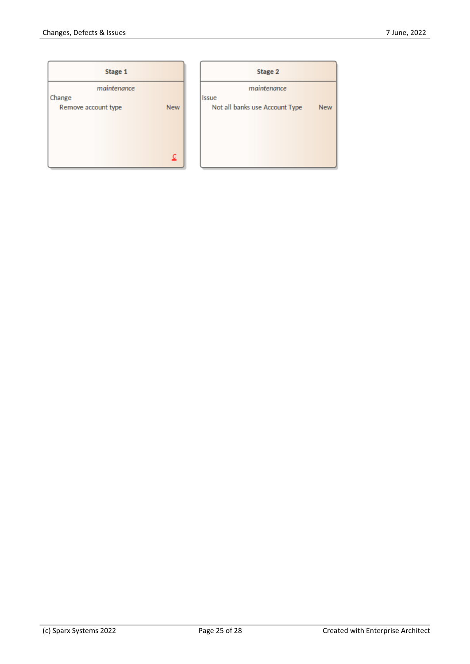| Stage 1               |            |           |
|-----------------------|------------|-----------|
| maintenance<br>Change |            | Issue     |
| Remove account type   | <b>New</b> | Not all b |
|                       | c          |           |

| <b>Stage 2</b>                 |            |  |  |  |
|--------------------------------|------------|--|--|--|
| maintenance                    |            |  |  |  |
| Issue                          |            |  |  |  |
| Not all banks use Account Type | <b>New</b> |  |  |  |
|                                |            |  |  |  |
|                                |            |  |  |  |
|                                |            |  |  |  |
|                                |            |  |  |  |
|                                |            |  |  |  |
|                                |            |  |  |  |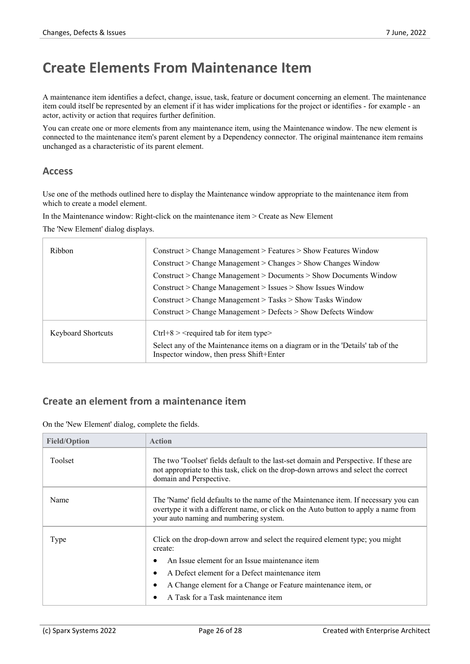### **Create Elements From Maintenance Item**

A maintenance item identifies a defect, change, issue, task, feature or document concerning an element. The maintenance item could itself be represented by an element if it has wider implications for the project or identifies - for example - an actor, activity or action that requires further definition.

You can create one or more elements from any maintenance item, using the Maintenance window.The new element is connected to the maintenance item's parent element by a Dependency connector. The original maintenance item remains unchanged as a characteristic of its parent element.

#### **Access**

Use one of the methods outlined here to display the Maintenance window appropriate to the maintenance item from which to create a model element.

In the Maintenance window: Right-click on the maintenance item > Create as New Element

The 'New Element' dialog displays.

| Ribbon             | $Construct > Change Management > Features > Show Features$ Window                                                           |
|--------------------|-----------------------------------------------------------------------------------------------------------------------------|
|                    | $Construct > Change Management > Changes > Show Changes$ Window                                                             |
|                    | $Construct > Change Management > Documents > Show$ Documents Window                                                         |
|                    | Construct > Change Management > Issues > Show Issues Window                                                                 |
|                    | $Construct > Change Management > Tasks > Show$ Tasks Window                                                                 |
|                    | Construct > Change Management > Defects > Show Defects Window                                                               |
| Keyboard Shortcuts | $Ctrl + 8$ > $\le$ required tab for item type $\ge$                                                                         |
|                    | Select any of the Maintenance items on a diagram or in the 'Details' tab of the<br>Inspector window, then press Shift+Enter |
|                    |                                                                                                                             |

#### **Create an element from a maintenance item**

On the 'New Element' dialog, complete the fields.

| <b>Field/Option</b> | <b>Action</b>                                                                                                                                                                                                                                                                                      |
|---------------------|----------------------------------------------------------------------------------------------------------------------------------------------------------------------------------------------------------------------------------------------------------------------------------------------------|
| Toolset             | The two 'Toolset' fields default to the last-set domain and Perspective. If these are<br>not appropriate to this task, click on the drop-down arrows and select the correct<br>domain and Perspective.                                                                                             |
| Name                | The 'Name' field defaults to the name of the Maintenance item. If necessary you can<br>overtype it with a different name, or click on the Auto button to apply a name from<br>your auto naming and numbering system.                                                                               |
| Type                | Click on the drop-down arrow and select the required element type; you might<br>create:<br>An Issue element for an Issue maintenance item<br>A Defect element for a Defect maintenance item<br>A Change element for a Change or Feature maintenance item, or<br>A Task for a Task maintenance item |